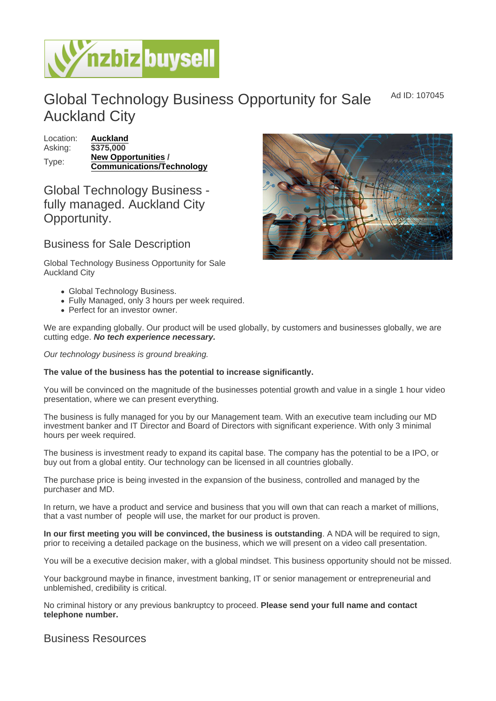Ad ID: 107045

## Global Technology Business Opportunity for Sale Auckland City

Location: [Auckland](https://www.nzbizbuysell.co.nz/businesses-for-sale/location/Auckland) Asking: \$375,000 Type: [New Opportunities](https://www.nzbizbuysell.co.nz/businesses-for-sale/New-Opportunities/New-Zealand)/ Communications/Technology

Global Technology Business fully managed. Auckland City Opportunity.

## Business for Sale Description

Global Technology Business Opportunity for Sale Auckland City

- Global Technology Business.
- Fully Managed, only 3 hours per week required.
- Perfect for an investor owner.

We are expanding globally. Our product will be used globally, by customers and businesses globally, we are cutting edge. No tech experience necessary.

Our technology business is ground breaking.

The value of the business has the potential to increase significantly.

You will be convinced on the magnitude of the businesses potential growth and value in a single 1 hour video presentation, where we can present everything.

The business is fully managed for you by our Management team. With an executive team including our MD investment banker and IT Director and Board of Directors with significant experience. With only 3 minimal hours per week required.

The business is investment ready to expand its capital base. The company has the potential to be a IPO, or buy out from a global entity. Our technology can be licensed in all countries globally.

The purchase price is being invested in the expansion of the business, controlled and managed by the purchaser and MD.

In return, we have a product and service and business that you will own that can reach a market of millions, that a vast number of people will use, the market for our product is proven.

In our first meeting you will be convinced, the business is outstanding . A NDA will be required to sign, prior to receiving a detailed package on the business, which we will present on a video call presentation.

You will be a executive decision maker, with a global mindset. This business opportunity should not be missed.

Your background maybe in finance, investment banking, IT or senior management or entrepreneurial and unblemished, credibility is critical.

No criminal history or any previous bankruptcy to proceed. Please send your full name and contact telephone number.

## Business Resources